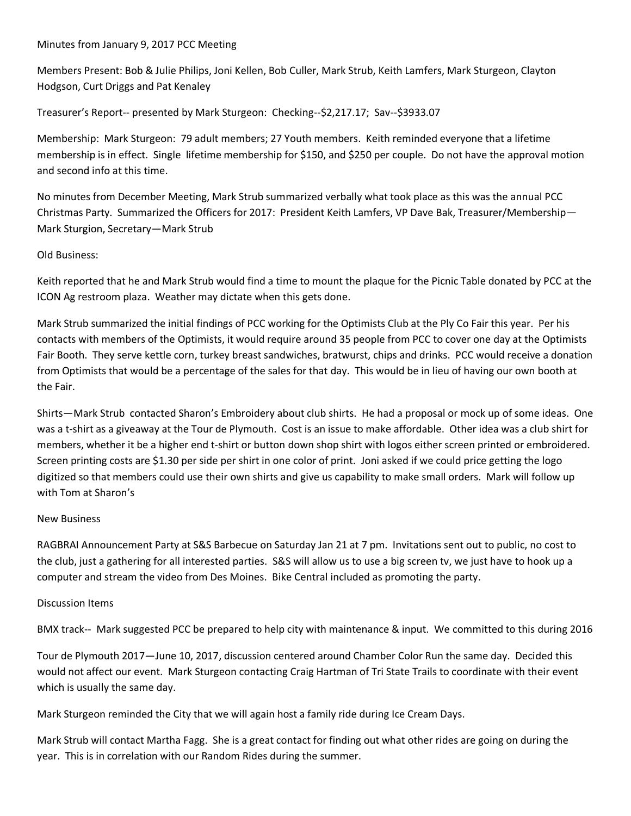## Minutes from January 9, 2017 PCC Meeting

Members Present: Bob & Julie Philips, Joni Kellen, Bob Culler, Mark Strub, Keith Lamfers, Mark Sturgeon, Clayton Hodgson, Curt Driggs and Pat Kenaley

Treasurer's Report-- presented by Mark Sturgeon: Checking--\$2,217.17; Sav--\$3933.07

Membership: Mark Sturgeon: 79 adult members; 27 Youth members. Keith reminded everyone that a lifetime membership is in effect. Single lifetime membership for \$150, and \$250 per couple. Do not have the approval motion and second info at this time.

No minutes from December Meeting, Mark Strub summarized verbally what took place as this was the annual PCC Christmas Party. Summarized the Officers for 2017: President Keith Lamfers, VP Dave Bak, Treasurer/Membership— Mark Sturgion, Secretary—Mark Strub

## Old Business:

Keith reported that he and Mark Strub would find a time to mount the plaque for the Picnic Table donated by PCC at the ICON Ag restroom plaza. Weather may dictate when this gets done.

Mark Strub summarized the initial findings of PCC working for the Optimists Club at the Ply Co Fair this year. Per his contacts with members of the Optimists, it would require around 35 people from PCC to cover one day at the Optimists Fair Booth. They serve kettle corn, turkey breast sandwiches, bratwurst, chips and drinks. PCC would receive a donation from Optimists that would be a percentage of the sales for that day. This would be in lieu of having our own booth at the Fair.

Shirts—Mark Strub contacted Sharon's Embroidery about club shirts. He had a proposal or mock up of some ideas. One was a t-shirt as a giveaway at the Tour de Plymouth. Cost is an issue to make affordable. Other idea was a club shirt for members, whether it be a higher end t-shirt or button down shop shirt with logos either screen printed or embroidered. Screen printing costs are \$1.30 per side per shirt in one color of print. Joni asked if we could price getting the logo digitized so that members could use their own shirts and give us capability to make small orders. Mark will follow up with Tom at Sharon's

## New Business

RAGBRAI Announcement Party at S&S Barbecue on Saturday Jan 21 at 7 pm. Invitations sent out to public, no cost to the club, just a gathering for all interested parties. S&S will allow us to use a big screen tv, we just have to hook up a computer and stream the video from Des Moines. Bike Central included as promoting the party.

## Discussion Items

BMX track-- Mark suggested PCC be prepared to help city with maintenance & input. We committed to this during 2016

Tour de Plymouth 2017—June 10, 2017, discussion centered around Chamber Color Run the same day. Decided this would not affect our event. Mark Sturgeon contacting Craig Hartman of Tri State Trails to coordinate with their event which is usually the same day.

Mark Sturgeon reminded the City that we will again host a family ride during Ice Cream Days.

Mark Strub will contact Martha Fagg. She is a great contact for finding out what other rides are going on during the year. This is in correlation with our Random Rides during the summer.